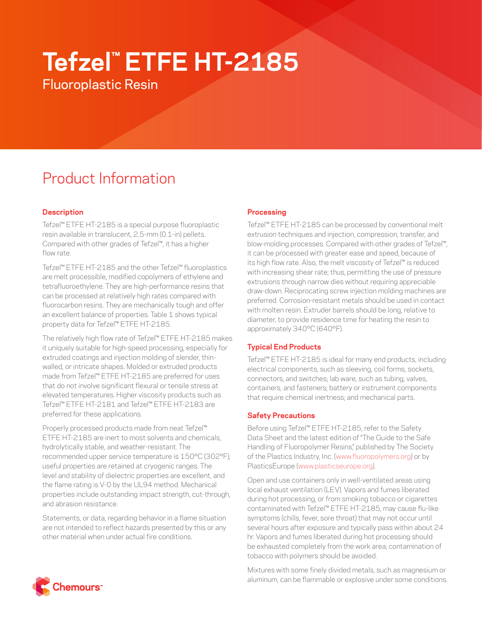# **Tefzel™ ETFE HT-2185**

Fluoroplastic Resin

# Product Information

# **Description**

Tefzel™ ETFE HT-2185 is a special purpose fluoroplastic resin available in translucent, 2.5-mm (0.1-in) pellets. Compared with other grades of Tefzel™, it has a higher flow rate.

Tefzel™ ETFE HT-2185 and the other Tefzel™ fluoroplastics are melt processible, modified copolymers of ethylene and tetrafluoroethylene. They are high-performance resins that can be processed at relatively high rates compared with fluorocarbon resins. They are mechanically tough and offer an excellent balance of properties. Table 1 shows typical property data for Tefzel™ ETFE HT-2185.

The relatively high flow rate of Tefzel™ ETFE HT-2185 makes it uniquely suitable for high-speed processing, especially for extruded coatings and injection molding of slender, thinwalled, or intricate shapes. Molded or extruded products made from Tefzel™ ETFE HT-2185 are preferred for uses that do not involve significant flexural or tensile stress at elevated temperatures. Higher viscosity products such as Tefzel™ ETFE HT-2181 and Tefzel™ ETFE HT-2183 are preferred for these applications.

Properly processed products made from neat Tefzel™ ETFE HT-2185 are inert to most solvents and chemicals, hydrolytically stable, and weather-resistant. The recommended upper service temperature is 150°C (302°F); useful properties are retained at cryogenic ranges. The level and stability of dielectric properties are excellent, and the flame rating is V-0 by the UL94 method. Mechanical properties include outstanding impact strength, cut-through, and abrasion resistance.

Statements, or data, regarding behavior in a flame situation are not intended to reflect hazards presented by this or any other material when under actual fire conditions.

# **Processing**

Tefzel™ ETFE HT-2185 can be processed by conventional melt extrusion techniques and injection, compression, transfer, and blow-molding processes. Compared with other grades of Tefzel™, it can be processed with greater ease and speed, because of its high flow rate. Also, the melt viscosity of Tefzel™ is reduced with increasing shear rate; thus, permitting the use of pressure extrusions through narrow dies without requiring appreciable draw-down. Reciprocating screw injection molding machines are preferred. Corrosion-resistant metals should be used in contact with molten resin. Extruder barrels should be long, relative to diameter, to provide residence time for heating the resin to approximately 340°C (640°F).

### **Typical End Products**

Tefzel™ ETFE HT-2185 is ideal for many end products, including electrical components, such as sleeving, coil forms, sockets, connectors, and switches; lab ware, such as tubing, valves, containers, and fasteners; battery or instrument components that require chemical inertness; and mechanical parts.

### **Safety Precautions**

Before using Tefzel™ ETFE HT-2185, refer to the Safety Data Sheet and the latest edition of "The Guide to the Safe Handling of Fluoropolymer Resins," published by The Society of the Plastics Industry, Inc. ([www.fluoropolymers.org](http://www.fluoropolymers.org)) or by PlasticsEurope ([www.plasticseurope.org\)](http://www.plasticseurope.org).

Open and use containers only in well-ventilated areas using local exhaust ventilation (LEV). Vapors and fumes liberated during hot processing, or from smoking tobacco or cigarettes contaminated with Tefzel™ ETFE HT-2185, may cause flu-like symptoms (chills, fever, sore throat) that may not occur until several hours after exposure and typically pass within about 24 hr. Vapors and fumes liberated during hot processing should be exhausted completely from the work area; contamination of tobacco with polymers should be avoided.

Mixtures with some finely divided metals, such as magnesium or aluminum, can be flammable or explosive under some conditions.